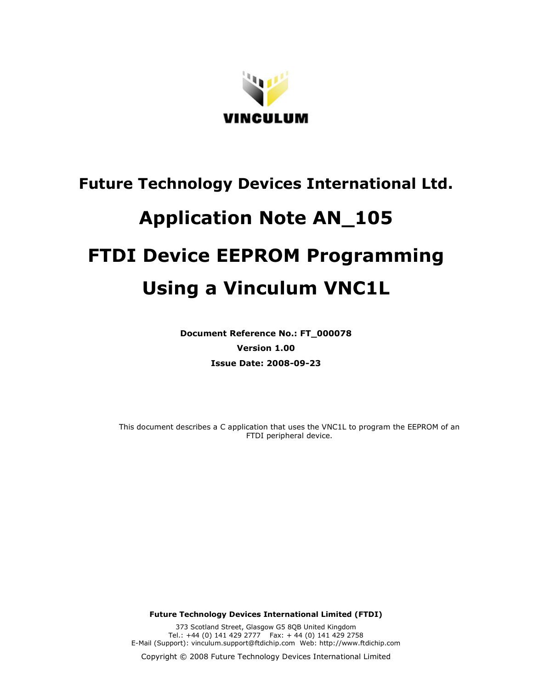

# **Future Technology Devices International Ltd.**

## **Application Note AN\_105 FTDI Device EEPROM Programming Using a Vinculum VNC1L**

**Document Reference No.: FT\_000078 Version 1.00 Issue Date: 2008-09-23** 

This document describes a C application that uses the VNC1L to program the EEPROM of an FTDI peripheral device.

**Future Technology Devices International Limited (FTDI)** 

373 Scotland Street, Glasgow G5 8QB United Kingdom Tel.: +44 (0) 141 429 2777 Fax: + 44 (0) 141 429 2758 E-Mail (Support): vinculum.support@ftdichip.com Web: http://www.ftdichip.com

Copyright © 2008 Future Technology Devices International Limited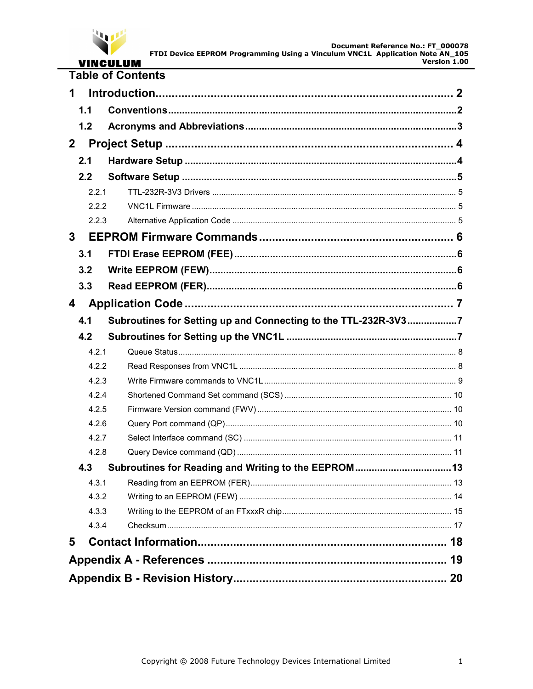

## **VINCULUM**<br>Table of Contents

| 1            |       |                                                                |  |  |
|--------------|-------|----------------------------------------------------------------|--|--|
|              | 1.1   |                                                                |  |  |
|              | 1.2   |                                                                |  |  |
| $\mathbf{2}$ |       |                                                                |  |  |
|              | 2.1   |                                                                |  |  |
|              | 2.2   |                                                                |  |  |
|              | 2.2.1 |                                                                |  |  |
|              | 2.2.2 |                                                                |  |  |
|              | 2.2.3 |                                                                |  |  |
| 3            |       |                                                                |  |  |
|              | 3.1   |                                                                |  |  |
|              | 3.2   |                                                                |  |  |
|              | 3.3   |                                                                |  |  |
| 4            |       |                                                                |  |  |
|              | 4.1   | Subroutines for Setting up and Connecting to the TTL-232R-3V37 |  |  |
|              | 4.2   |                                                                |  |  |
|              | 4.2.1 |                                                                |  |  |
|              | 4.2.2 |                                                                |  |  |
|              | 4.2.3 |                                                                |  |  |
|              | 4.2.4 |                                                                |  |  |
|              | 4.2.5 |                                                                |  |  |
|              | 4.2.6 |                                                                |  |  |
|              | 4.2.7 |                                                                |  |  |
|              | 4.2.8 |                                                                |  |  |
|              | 4.3   |                                                                |  |  |
|              | 4.3.1 |                                                                |  |  |
|              | 4.3.2 |                                                                |  |  |
|              | 4.3.3 |                                                                |  |  |
|              | 4.3.4 |                                                                |  |  |
| 5            |       |                                                                |  |  |
|              |       |                                                                |  |  |
|              | 20    |                                                                |  |  |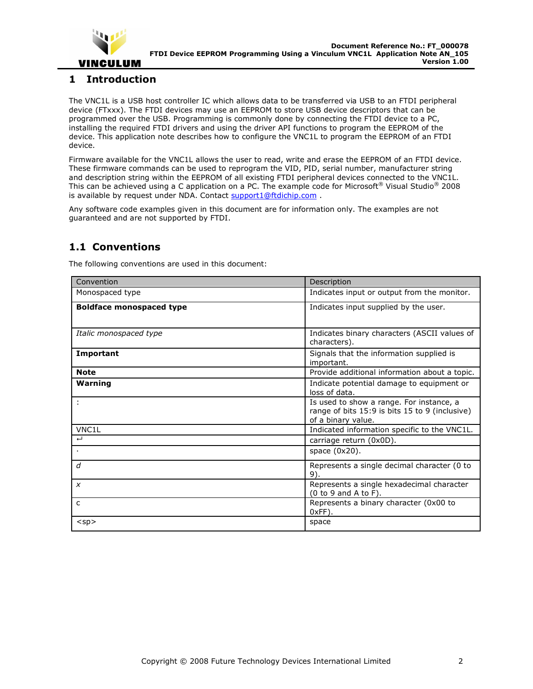

## **1 Introduction**

The VNC1L is a USB host controller IC which allows data to be transferred via USB to an FTDI peripheral device (FTxxx). The FTDI devices may use an EEPROM to store USB device descriptors that can be programmed over the USB. Programming is commonly done by connecting the FTDI device to a PC, installing the required FTDI drivers and using the driver API functions to program the EEPROM of the device. This application note describes how to configure the VNC1L to program the EEPROM of an FTDI device.

Firmware available for the VNC1L allows the user to read, write and erase the EEPROM of an FTDI device. These firmware commands can be used to reprogram the VID, PID, serial number, manufacturer string and description string within the EEPROM of all existing FTDI peripheral devices connected to the VNC1L. This can be achieved using a C application on a PC. The example code for Microsoft<sup>®</sup> Visual Studio<sup>®</sup> 2008 is available by request under NDA. Contact support1@ftdichip.com.

Any software code examples given in this document are for information only. The examples are not guaranteed and are not supported by FTDI.

## **1.1 Conventions**

| Convention                      | Description                                                                                                      |
|---------------------------------|------------------------------------------------------------------------------------------------------------------|
| Monospaced type                 | Indicates input or output from the monitor.                                                                      |
| <b>Boldface monospaced type</b> | Indicates input supplied by the user.                                                                            |
| Italic monospaced type          | Indicates binary characters (ASCII values of<br>characters).                                                     |
| Important                       | Signals that the information supplied is<br>important.                                                           |
| <b>Note</b>                     | Provide additional information about a topic.                                                                    |
| Warning                         | Indicate potential damage to equipment or<br>loss of data.                                                       |
|                                 | Is used to show a range. For instance, a<br>range of bits 15:9 is bits 15 to 9 (inclusive)<br>of a binary value. |
| VNC1L                           | Indicated information specific to the VNC1L.                                                                     |
| $\overline{ }$                  | carriage return (0x0D).                                                                                          |
|                                 | space (0x20).                                                                                                    |
| $\overline{d}$                  | Represents a single decimal character (0 to<br>9).                                                               |
| $\boldsymbol{x}$                | Represents a single hexadecimal character<br>(0 to 9 and A to F).                                                |
| $\mathsf{C}$                    | Represents a binary character (0x00 to<br>$0xFF$ ).                                                              |
| $<$ sp $>$                      | space                                                                                                            |

The following conventions are used in this document: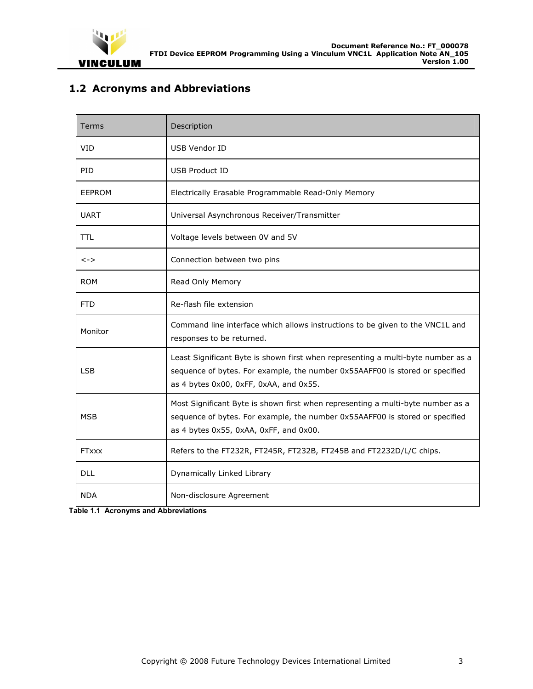

## **1.2 Acronyms and Abbreviations**

| Terms         | Description                                                                                                                                                                                                |
|---------------|------------------------------------------------------------------------------------------------------------------------------------------------------------------------------------------------------------|
| <b>VID</b>    | <b>USB Vendor ID</b>                                                                                                                                                                                       |
| PID           | <b>USB Product ID</b>                                                                                                                                                                                      |
| <b>EEPROM</b> | Electrically Erasable Programmable Read-Only Memory                                                                                                                                                        |
| <b>UART</b>   | Universal Asynchronous Receiver/Transmitter                                                                                                                                                                |
| TTL           | Voltage levels between 0V and 5V                                                                                                                                                                           |
| $\lt$ - $>$   | Connection between two pins                                                                                                                                                                                |
| <b>ROM</b>    | Read Only Memory                                                                                                                                                                                           |
| <b>FTD</b>    | Re-flash file extension                                                                                                                                                                                    |
| Monitor       | Command line interface which allows instructions to be given to the VNC1L and<br>responses to be returned.                                                                                                 |
| <b>LSB</b>    | Least Significant Byte is shown first when representing a multi-byte number as a<br>sequence of bytes. For example, the number 0x55AAFF00 is stored or specified<br>as 4 bytes 0x00, 0xFF, 0xAA, and 0x55. |
| <b>MSB</b>    | Most Significant Byte is shown first when representing a multi-byte number as a<br>sequence of bytes. For example, the number 0x55AAFF00 is stored or specified<br>as 4 bytes 0x55, 0xAA, 0xFF, and 0x00.  |
| <b>FTxxx</b>  | Refers to the FT232R, FT245R, FT232B, FT245B and FT2232D/L/C chips.                                                                                                                                        |
| <b>DLL</b>    | Dynamically Linked Library                                                                                                                                                                                 |
| <b>NDA</b>    | Non-disclosure Agreement                                                                                                                                                                                   |

**Table 1.1 Acronyms and Abbreviations**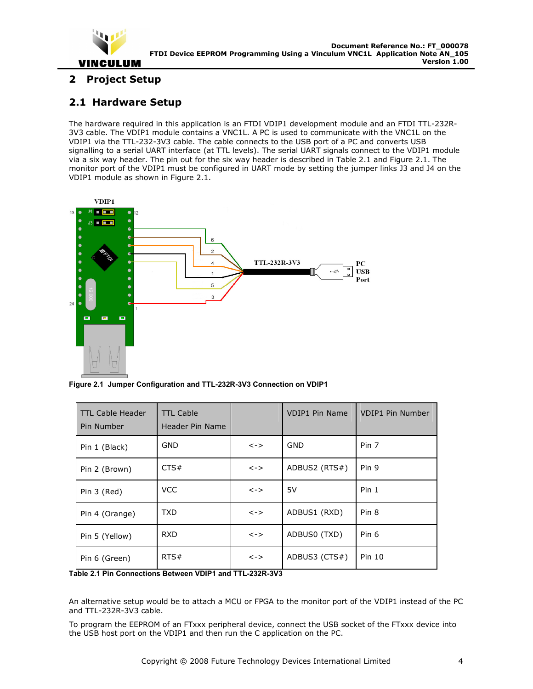

## **2 Project Setup**

## **2.1 Hardware Setup**

The hardware required in this application is an FTDI VDIP1 development module and an FTDI TTL-232R-3V3 cable. The VDIP1 module contains a VNC1L. A PC is used to communicate with the VNC1L on the VDIP1 via the TTL-232-3V3 cable. The cable connects to the USB port of a PC and converts USB signalling to a serial UART interface (at TTL levels). The serial UART signals connect to the VDIP1 module via a six way header. The pin out for the six way header is described in Table 2.1 and Figure 2.1. The monitor port of the VDIP1 must be configured in UART mode by setting the jumper links J3 and J4 on the VDIP1 module as shown in Figure 2.1.



**Figure 2.1 Jumper Configuration and TTL-232R-3V3 Connection on VDIP1** 

| <b>TTL Cable Header</b><br>Pin Number | <b>TTL Cable</b><br>Header Pin Name |                               | <b>VDIP1 Pin Name</b> | <b>VDIP1 Pin Number</b> |
|---------------------------------------|-------------------------------------|-------------------------------|-----------------------|-------------------------|
| Pin 1 (Black)                         | <b>GND</b>                          | $\left\langle -\right\rangle$ | <b>GND</b>            | Pin 7                   |
| Pin 2 (Brown)                         | CTS#                                | <->                           | ADBUS2 (RTS#)         | Pin 9                   |
| Pin 3 (Red)                           | <b>VCC</b>                          | <->                           | 5V                    | Pin <sub>1</sub>        |
| Pin 4 (Orange)                        | TXD.                                | $\left\langle -\right\rangle$ | ADBUS1 (RXD)          | Pin <sub>8</sub>        |
| Pin 5 (Yellow)                        | <b>RXD</b>                          | <->                           | ADBUS0 (TXD)          | Pin 6                   |
| Pin 6 (Green)                         | RTS#                                | <->                           | ADBUS3 (CTS#)         | Pin 10                  |

**Table 2.1 Pin Connections Between VDIP1 and TTL-232R-3V3** 

An alternative setup would be to attach a MCU or FPGA to the monitor port of the VDIP1 instead of the PC and TTL-232R-3V3 cable.

To program the EEPROM of an FTxxx peripheral device, connect the USB socket of the FTxxx device into the USB host port on the VDIP1 and then run the C application on the PC.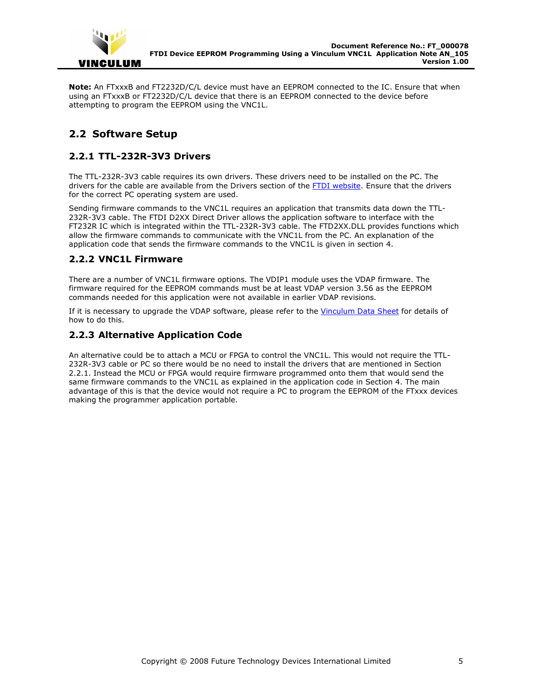

**Note:** An FTxxxB and FT2232D/C/L device must have an EEPROM connected to the IC. Ensure that when using an FTxxxB or FT2232D/C/L device that there is an EEPROM connected to the device before attempting to program the EEPROM using the VNC1L.

## **2.2 Software Setup**

## **2.2.1 TTL-232R-3V3 Drivers**

The TTL-232R-3V3 cable requires its own drivers. These drivers need to be installed on the PC. The drivers for the cable are available from the Drivers section of the FTDI website. Ensure that the drivers for the correct PC operating system are used.

Sending firmware commands to the VNC1L requires an application that transmits data down the TTL-232R-3V3 cable. The FTDI D2XX Direct Driver allows the application software to interface with the FT232R IC which is integrated within the TTL-232R-3V3 cable. The FTD2XX.DLL provides functions which allow the firmware commands to communicate with the VNC1L from the PC. An explanation of the application code that sends the firmware commands to the VNC1L is given in section 4.

## **2.2.2 VNC1L Firmware**

There are a number of VNC1L firmware options. The VDIP1 module uses the VDAP firmware. The firmware required for the EEPROM commands must be at least VDAP version 3.56 as the EEPROM commands needed for this application were not available in earlier VDAP revisions.

If it is necessary to upgrade the VDAP software, please refer to the Vinculum Data Sheet for details of how to do this.

## **2.2.3 Alternative Application Code**

An alternative could be to attach a MCU or FPGA to control the VNC1L. This would not require the TTL-232R-3V3 cable or PC so there would be no need to install the drivers that are mentioned in Section 2.2.1. Instead the MCU or FPGA would require firmware programmed onto them that would send the same firmware commands to the VNC1L as explained in the application code in Section 4. The main advantage of this is that the device would not require a PC to program the EEPROM of the FTxxx devices making the programmer application portable.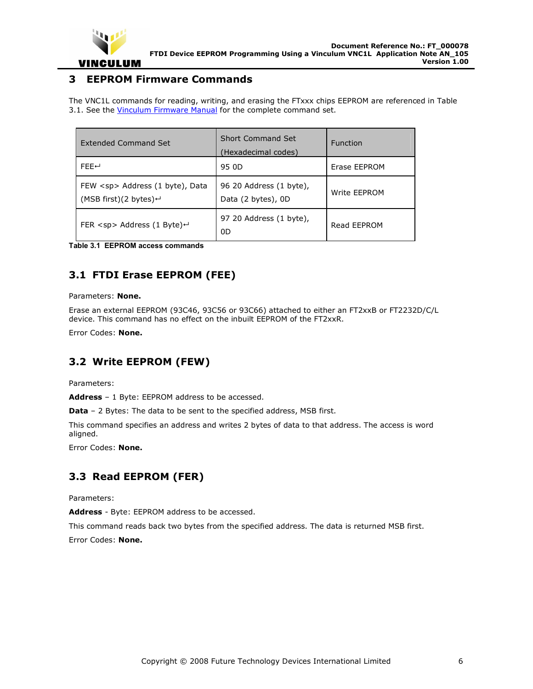

## **3 EEPROM Firmware Commands**

The VNC1L commands for reading, writing, and erasing the FTxxx chips EEPROM are referenced in Table 3.1. See the Vinculum Firmware Manual for the complete command set.

| <b>Extended Command Set</b>                                                          | <b>Short Command Set</b><br>(Hexadecimal codes) | <b>Function</b> |
|--------------------------------------------------------------------------------------|-------------------------------------------------|-----------------|
| FFFH                                                                                 | 95 OD                                           | Erase EEPROM    |
| FEW <sp> Address (1 byte), Data<br/>(MSB first)(2 bytes)<math>\leftarrow</math></sp> | 96 20 Address (1 byte),<br>Data (2 bytes), 0D   | Write EEPROM    |
| FER $<$ sp> Address (1 Byte) $\leftarrow$                                            | 97 20 Address (1 byte),<br>0D                   | Read EEPROM     |

**Table 3.1 EEPROM access commands** 

## **3.1 FTDI Erase EEPROM (FEE)**

#### Parameters: **None.**

Erase an external EEPROM (93C46, 93C56 or 93C66) attached to either an FT2xxB or FT2232D/C/L device. This command has no effect on the inbuilt EEPROM of the FT2xxR.

Error Codes: **None.**

## **3.2 Write EEPROM (FEW)**

Parameters:

**Address** – 1 Byte: EEPROM address to be accessed.

**Data** - 2 Bytes: The data to be sent to the specified address, MSB first.

This command specifies an address and writes 2 bytes of data to that address. The access is word aligned.

Error Codes: **None.**

## **3.3 Read EEPROM (FER)**

Parameters:

**Address** - Byte: EEPROM address to be accessed.

This command reads back two bytes from the specified address. The data is returned MSB first.

Error Codes: **None.**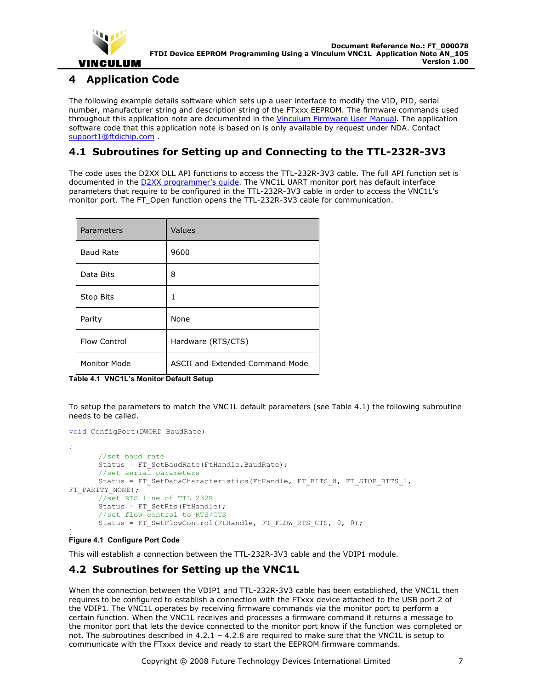

## **4 Application Code**

The following example details software which sets up a user interface to modify the VID, PID, serial number, manufacturer string and description string of the FTxxx EEPROM. The firmware commands used throughout this application note are documented in the *Vinculum Firmware User Manual*. The application software code that this application note is based on is only available by request under NDA. Contact support1@ftdichip.com .

## **4.1 Subroutines for Setting up and Connecting to the TTL-232R-3V3**

The code uses the D2XX DLL API functions to access the TTL-232R-3V3 cable. The full API function set is documented in the **D2XX** programmer's guide. The VNC1L UART monitor port has default interface parameters that require to be configured in the TTL-232R-3V3 cable in order to access the VNC1L's monitor port. The FT\_Open function opens the TTL-232R-3V3 cable for communication.

| Parameters       | Values                          |
|------------------|---------------------------------|
| <b>Baud Rate</b> | 9600                            |
| Data Bits        | 8                               |
| Stop Bits        | 1                               |
| Parity           | None                            |
| Flow Control     | Hardware (RTS/CTS)              |
| Monitor Mode     | ASCII and Extended Command Mode |

**Table 4.1 VNC1L's Monitor Default Setup** 

To setup the parameters to match the VNC1L default parameters (see Table 4.1) the following subroutine needs to be called.

```
void ConfigPort(DWORD BaudRate) 
{ 
      //set baud rate 
      Status = FT SetBaudRate(FtHandle, BaudRate);
      //set serial parameters 
      Status = FT_SetDataCharacteristics(FtHandle, FT_BITS_8, FT_STOP_BITS_1,
FT_PARITY_NONE);
      //set RTS line of TTL 232R 
      Status = FT SetRts(FtHandle);
      //set flow control to RTS/CTS 
      Status = FT SetFlowControl(FtHandle, FT FLOW RTS CTS, 0, 0);
}
```
#### **Figure 4.1 Configure Port Code**

This will establish a connection between the TTL-232R-3V3 cable and the VDIP1 module.

## **4.2 Subroutines for Setting up the VNC1L**

When the connection between the VDIP1 and TTL-232R-3V3 cable has been established, the VNC1L then requires to be configured to establish a connection with the FTxxx device attached to the USB port 2 of the VDIP1. The VNC1L operates by receiving firmware commands via the monitor port to perform a certain function. When the VNC1L receives and processes a firmware command it returns a message to the monitor port that lets the device connected to the monitor port know if the function was completed or not. The subroutines described in 4.2.1 – 4.2.8 are required to make sure that the VNC1L is setup to communicate with the FTxxx device and ready to start the EEPROM firmware commands.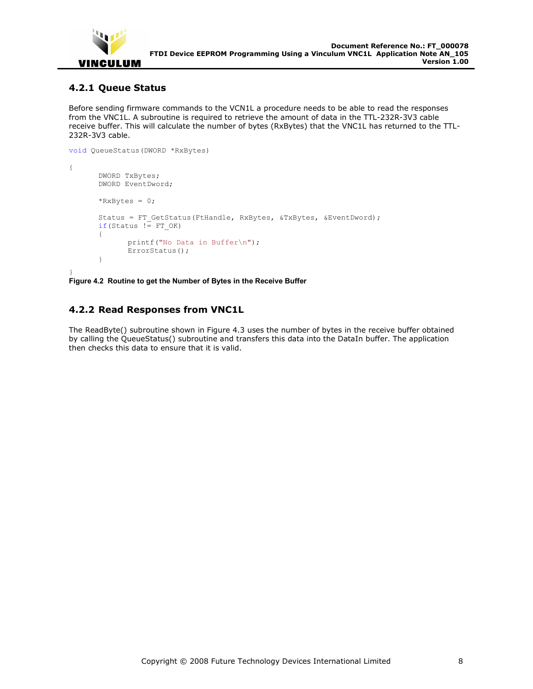

## **4.2.1 Queue Status**

Before sending firmware commands to the VCN1L a procedure needs to be able to read the responses from the VNC1L. A subroutine is required to retrieve the amount of data in the TTL-232R-3V3 cable receive buffer. This will calculate the number of bytes (RxBytes) that the VNC1L has returned to the TTL-232R-3V3 cable.

```
void QueueStatus(DWORD *RxBytes) 
{ 
        DWORD TxBytes; 
        DWORD EventDword; 
       *RxBytes = 0;Status = FT GetStatus(FtHandle, RxBytes, &TxBytes, &EventDword);
       if(Status != FT OK)
        { 
               printf("No Data in Buffer\n"); 
               ErrorStatus(); 
        }
```
} **Figure 4.2 Routine to get the Number of Bytes in the Receive Buffer** 

## **4.2.2 Read Responses from VNC1L**

The ReadByte() subroutine shown in Figure 4.3 uses the number of bytes in the receive buffer obtained by calling the QueueStatus() subroutine and transfers this data into the DataIn buffer. The application then checks this data to ensure that it is valid.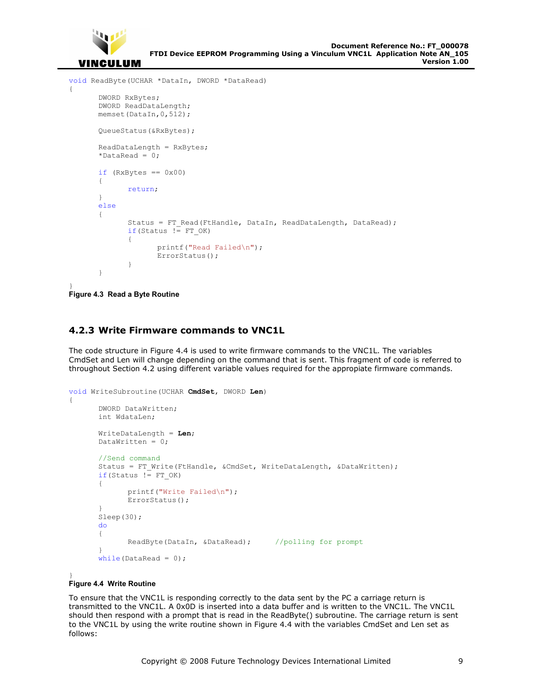

```
void ReadByte(UCHAR *DataIn, DWORD *DataRead) 
{ 
       DWORD RxBytes; 
       DWORD ReadDataLength; 
      memset(DataIn, 0, 512);
       QueueStatus(&RxBytes); 
       ReadDataLength = RxBytes; 
      *DataRead = 0;
      if (RxBytes == 0x00) { 
              return; 
       } 
      else 
       { 
             Status = FT Read(FtHandle, DataIn, ReadDataLength, DataRead);
             if(Status != FT OK)
\{ printf("Read Failed\n"); 
                     ErrorStatus(); 
 } 
 } 
}
```

```
Figure 4.3 Read a Byte Routine
```
## **4.2.3 Write Firmware commands to VNC1L**

The code structure in Figure 4.4 is used to write firmware commands to the VNC1L. The variables CmdSet and Len will change depending on the command that is sent. This fragment of code is referred to throughout Section 4.2 using different variable values required for the appropiate firmware commands.

```
void WriteSubroutine(UCHAR CmdSet, DWORD Len) 
{ 
      DWORD DataWritten; 
      int WdataLen; 
       WriteDataLength = Len; 
      DataWritten = 0;//Send command 
      Status = FT Write(FtHandle, &CmdSet, WriteDataLength, &DataWritten);
      if(Status != FT OK) { 
              printf("Write Failed\n"); 
              ErrorStatus(); 
 } 
       Sleep(30); 
      do 
        { 
             ReadByte(DataIn, &DataRead); //polling for prompt
 } 
      while(DataRead = 0);
```
#### } **Figure 4.4 Write Routine**

To ensure that the VNC1L is responding correctly to the data sent by the PC a carriage return is transmitted to the VNC1L. A 0x0D is inserted into a data buffer and is written to the VNC1L. The VNC1L should then respond with a prompt that is read in the ReadByte() subroutine. The carriage return is sent to the VNC1L by using the write routine shown in Figure 4.4 with the variables CmdSet and Len set as follows: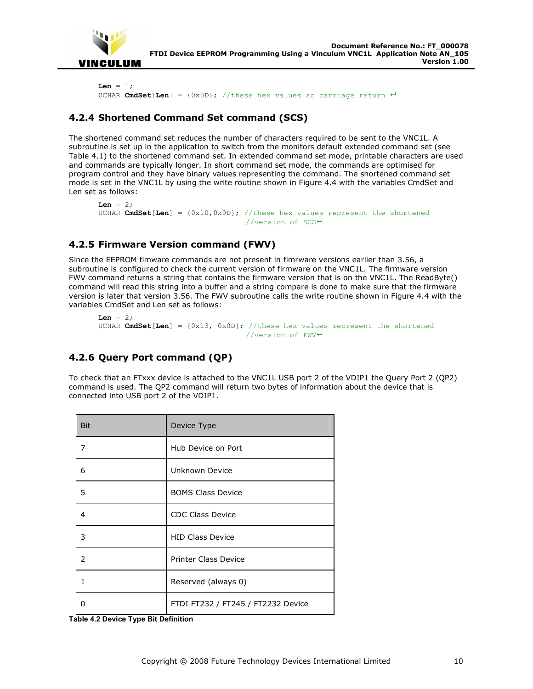

```
Len = 1;
UCHAR CmdSet[Len] = \{0x0D\}; //these hex values ac carriage return \leftarrow
```
## **4.2.4 Shortened Command Set command (SCS)**

The shortened command set reduces the number of characters required to be sent to the VNC1L. A subroutine is set up in the application to switch from the monitors default extended command set (see Table 4.1) to the shortened command set. In extended command set mode, printable characters are used and commands are typically longer. In short command set mode, the commands are optimised for program control and they have binary values representing the command. The shortened command set mode is set in the VNC1L by using the write routine shown in Figure 4.4 with the variables CmdSet and Len set as follows:

```
\text{Len} = 2;
UCHAR CmdSet[Len] = \{0x10, 0x0D\}; //these hex values represent the shortened
                                    //version of SCS
```
## **4.2.5 Firmware Version command (FWV)**

Since the EEPROM fimware commands are not present in fimrware versions earlier than 3.56, a subroutine is configured to check the current version of firmware on the VNC1L. The firmware version FWV command returns a string that contains the firmware version that is on the VNC1L. The ReadByte() command will read this string into a buffer and a string compare is done to make sure that the firmware version is later that version 3.56. The FWV subroutine calls the write routine shown in Figure 4.4 with the variables CmdSet and Len set as follows:

```
Len = 2; UCHAR CmdSet[Len] = {0x13, 0x0D}; //these hex values represent the shortened 
                                  //version of FWV
```
## **4.2.6 Query Port command (QP)**

To check that an FTxxx device is attached to the VNC1L USB port 2 of the VDIP1 the Query Port 2 (QP2) command is used. The QP2 command will return two bytes of information about the device that is connected into USB port 2 of the VDIP1.

| <b>Bit</b>     | Device Type                        |
|----------------|------------------------------------|
| 7              | Hub Device on Port                 |
| 6              | Unknown Device                     |
| 5              | <b>BOMS Class Device</b>           |
| 4              | <b>CDC Class Device</b>            |
| 3              | <b>HID Class Device</b>            |
| $\overline{2}$ | <b>Printer Class Device</b>        |
| 1              | Reserved (always 0)                |
| 0              | FTDI FT232 / FT245 / FT2232 Device |

**Table 4.2 Device Type Bit Definition**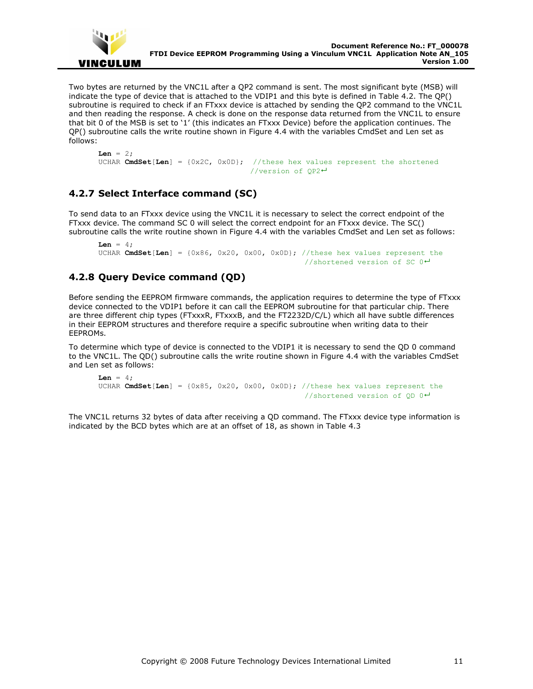

Two bytes are returned by the VNC1L after a QP2 command is sent. The most significant byte (MSB) will indicate the type of device that is attached to the VDIP1 and this byte is defined in Table 4.2. The QP() subroutine is required to check if an FTxxx device is attached by sending the QP2 command to the VNC1L and then reading the response. A check is done on the response data returned from the VNC1L to ensure that bit 0 of the MSB is set to '1' (this indicates an FTxxx Device) before the application continues. The QP() subroutine calls the write routine shown in Figure 4.4 with the variables CmdSet and Len set as follows:

```
Len = 2; UCHAR CmdSet[Len] = {0x2C, 0x0D}; //these hex values represent the shortened 
                                    //version of QP2
```
## **4.2.7 Select Interface command (SC)**

To send data to an FTxxx device using the VNC1L it is necessary to select the correct endpoint of the FTxxx device. The command SC 0 will select the correct endpoint for an FTxxx device. The SC() subroutine calls the write routine shown in Figure 4.4 with the variables CmdSet and Len set as follows:

```
T_{\text{en}} = 4;
 UCHAR CmdSet[Len] = {0x86, 0x20, 0x00, 0x0D}; //these hex values represent the 
                                                        //shortened version of SC 0^{\frac{1}{2}}
```
## **4.2.8 Query Device command (QD)**

Before sending the EEPROM firmware commands, the application requires to determine the type of FTxxx device connected to the VDIP1 before it can call the EEPROM subroutine for that particular chip. There are three different chip types (FTxxxR, FTxxxB, and the FT2232D/C/L) which all have subtle differences in their EEPROM structures and therefore require a specific subroutine when writing data to their EEPROMs.

To determine which type of device is connected to the VDIP1 it is necessary to send the QD 0 command to the VNC1L. The QD() subroutine calls the write routine shown in Figure 4.4 with the variables CmdSet and Len set as follows:

```
\mathbf{Len} = 4;
UCHAR CmdSet[Len] = \{0x85, 0x20, 0x00, 0x0D\}; //these hex values represent the
                                                       //shortened version of OD 0 \rightarrow
```
The VNC1L returns 32 bytes of data after receiving a QD command. The FTxxx device type information is indicated by the BCD bytes which are at an offset of 18, as shown in Table 4.3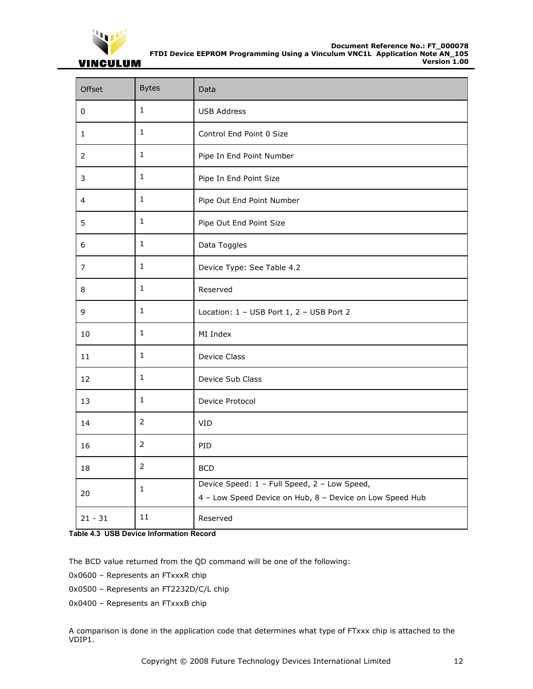

## **VINCULUM**

| Offset         | <b>Bytes</b>   | Data                                                                                                     |
|----------------|----------------|----------------------------------------------------------------------------------------------------------|
| 0              | $\mathbf{1}$   | <b>USB Address</b>                                                                                       |
| $\mathbf{1}$   | $\mathbf{1}$   | Control End Point 0 Size                                                                                 |
| $\overline{2}$ | $\mathbf{1}$   | Pipe In End Point Number                                                                                 |
| 3              | $\mathbf{1}$   | Pipe In End Point Size                                                                                   |
| 4              | $\mathbf{1}$   | Pipe Out End Point Number                                                                                |
| 5              | $\mathbf{1}$   | Pipe Out End Point Size                                                                                  |
| 6              | $\mathbf{1}$   | Data Toggles                                                                                             |
| $\overline{7}$ | $\mathbf{1}$   | Device Type: See Table 4.2                                                                               |
| 8              | $\mathbf{1}$   | Reserved                                                                                                 |
| 9              | $\mathbf{1}$   | Location: 1 - USB Port 1, 2 - USB Port 2                                                                 |
| 10             | $\mathbf{1}$   | MI Index                                                                                                 |
| 11             | $\mathbf{1}$   | Device Class                                                                                             |
| 12             | $\mathbf{1}$   | Device Sub Class                                                                                         |
| 13             | $\mathbf{1}$   | Device Protocol                                                                                          |
| 14             | $\overline{2}$ | VID                                                                                                      |
| 16             | $\overline{2}$ | PID                                                                                                      |
| 18             | $\overline{2}$ | <b>BCD</b>                                                                                               |
| 20             | $\mathbf{1}$   | Device Speed: 1 - Full Speed, 2 - Low Speed,<br>4 - Low Speed Device on Hub, 8 - Device on Low Speed Hub |
| $21 - 31$      | 11             | Reserved                                                                                                 |

#### **Table 4.3 USB Device Information Record**

The BCD value returned from the QD command will be one of the following:

- 0x0600 Represents an FTxxxR chip
- 0x0500 Represents an FT2232D/C/L chip
- 0x0400 Represents an FTxxxB chip

A comparison is done in the application code that determines what type of FTxxx chip is attached to the VDIP1.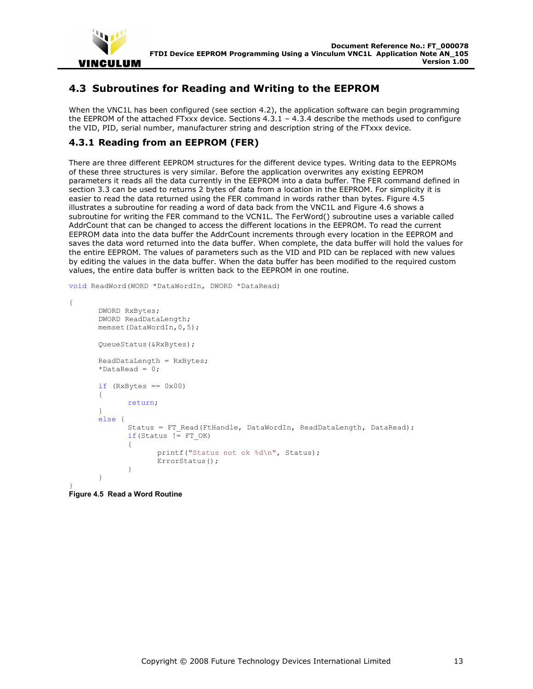

## **4.3 Subroutines for Reading and Writing to the EEPROM**

When the VNC1L has been configured (see section 4.2), the application software can begin programming the EEPROM of the attached FTxxx device. Sections  $4.3.1 - 4.3.4$  describe the methods used to configure the VID, PID, serial number, manufacturer string and description string of the FTxxx device.

## **4.3.1 Reading from an EEPROM (FER)**

There are three different EEPROM structures for the different device types. Writing data to the EEPROMs of these three structures is very similar. Before the application overwrites any existing EEPROM parameters it reads all the data currently in the EEPROM into a data buffer. The FER command defined in section 3.3 can be used to returns 2 bytes of data from a location in the EEPROM. For simplicity it is easier to read the data returned using the FER command in words rather than bytes. Figure 4.5 illustrates a subroutine for reading a word of data back from the VNC1L and Figure 4.6 shows a subroutine for writing the FER command to the VCN1L. The FerWord() subroutine uses a variable called AddrCount that can be changed to access the different locations in the EEPROM. To read the current EEPROM data into the data buffer the AddrCount increments through every location in the EEPROM and saves the data word returned into the data buffer. When complete, the data buffer will hold the values for the entire EEPROM. The values of parameters such as the VID and PID can be replaced with new values by editing the values in the data buffer. When the data buffer has been modified to the required custom values, the entire data buffer is written back to the EEPROM in one routine.

void ReadWord(WORD \*DataWordIn, DWORD \*DataRead)

```
{ 
       DWORD RxBytes; 
       DWORD ReadDataLength; 
       memset(DataWordIn,0,5); 
       QueueStatus(&RxBytes); 
       ReadDataLength = RxBytes; 
      *DataRead = 0;
      if (RxBytes == 0x00) { 
      return;
 } 
      else { 
            Status = FT Read(FtHandle, DataWordIn, ReadDataLength, DataRead);
            if(Status != FT OK)\{ printf("Status not ok %d\n", Status); 
                   ErrorStatus(); 
 } 
 }
```

```
} 
Figure 4.5 Read a Word Routine
```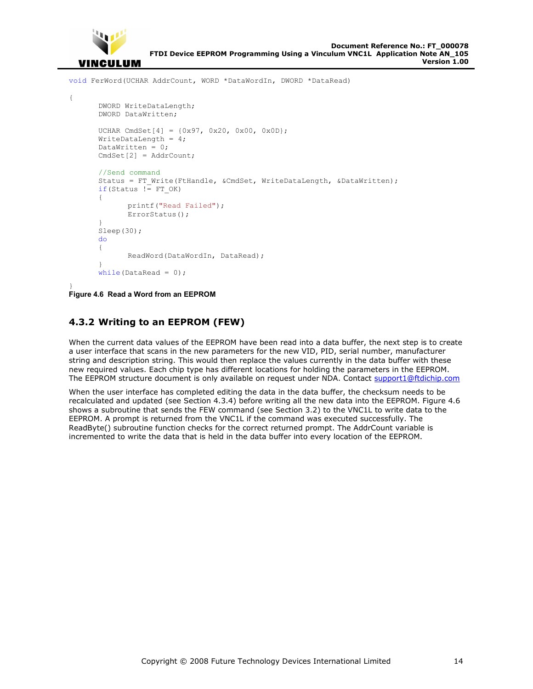

```
void FerWord(UCHAR AddrCount, WORD *DataWordIn, DWORD *DataRead)
```

```
{ 
       DWORD WriteDataLength; 
       DWORD DataWritten; 
      UCHAR CmdSet[4] = \{0x97, 0x20, 0x00, 0x0D\};
       WriteDataLength = 4; 
      DataWritten = 0;
       CmdSet[2] = AddrCount; 
      //Send command 
      Status = FT Write(FtHandle, &CmdSet, WriteDataLength, &DataWritten);
      if(Status != FT OK)
        { 
              printf("Read Failed"); 
              ErrorStatus(); 
 } 
       Sleep(30); 
      do 
        { 
               ReadWord(DataWordIn, DataRead); 
 } 
      while(DataRead = 0);
```

```
} 
Figure 4.6 Read a Word from an EEPROM
```
## **4.3.2 Writing to an EEPROM (FEW)**

When the current data values of the EEPROM have been read into a data buffer, the next step is to create a user interface that scans in the new parameters for the new VID, PID, serial number, manufacturer string and description string. This would then replace the values currently in the data buffer with these new required values. Each chip type has different locations for holding the parameters in the EEPROM. The EEPROM structure document is only available on request under NDA. Contact support1@ftdichip.com

When the user interface has completed editing the data in the data buffer, the checksum needs to be recalculated and updated (see Section 4.3.4) before writing all the new data into the EEPROM. Figure 4.6 shows a subroutine that sends the FEW command (see Section 3.2) to the VNC1L to write data to the EEPROM. A prompt is returned from the VNC1L if the command was executed successfully. The ReadByte() subroutine function checks for the correct returned prompt. The AddrCount variable is incremented to write the data that is held in the data buffer into every location of the EEPROM.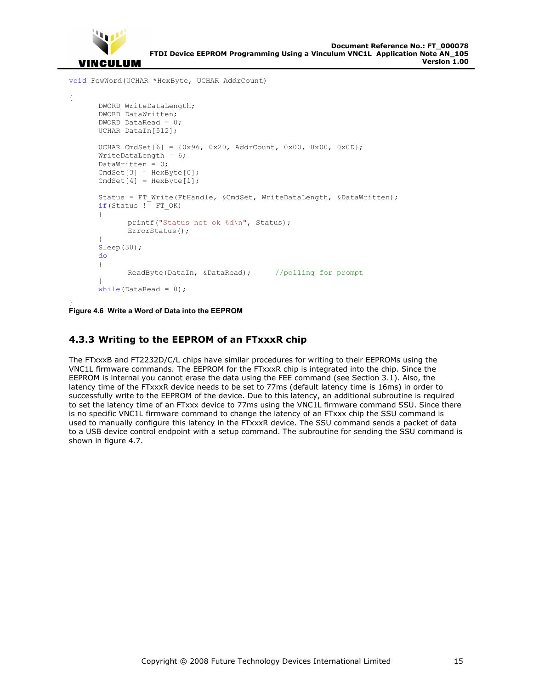

{

**Clearance No.: FTDI# 59**

void FewWord(UCHAR \*HexByte, UCHAR AddrCount)

```
 DWORD WriteDataLength; 
       DWORD DataWritten; 
       DWORD DataRead = 0; 
       UCHAR DataIn[512]; 
      UCHAR CmdSet[6] = \{0x96, 0x20, 0x00, 0x00, 0x00, 0x00\};
      WriteDataLength = 6;
      DataWritten = 0;CmdSet[3] = HexByte[0];
      CmdSet[4] = HexByte[1];
      Status = FT Write(FtHandle, &CmdSet, WriteDataLength, &DataWritten);
      if(Status != FT OK)
       { 
              printf("Status not ok %d\n", Status); 
              ErrorStatus(); 
 } 
       Sleep(30); 
      do 
       { 
             ReadByte(DataIn, &DataRead); //polling for prompt
 } 
      while(DataRead = 0);
```
} **Figure 4.6 Write a Word of Data into the EEPROM** 

## **4.3.3 Writing to the EEPROM of an FTxxxR chip**

The FTxxxB and FT2232D/C/L chips have similar procedures for writing to their EEPROMs using the VNC1L firmware commands. The EEPROM for the FTxxxR chip is integrated into the chip. Since the EEPROM is internal you cannot erase the data using the FEE command (see Section 3.1). Also, the latency time of the FTxxxR device needs to be set to 77ms (default latency time is 16ms) in order to successfully write to the EEPROM of the device. Due to this latency, an additional subroutine is required to set the latency time of an FTxxx device to 77ms using the VNC1L firmware command SSU. Since there is no specific VNC1L firmware command to change the latency of an FTxxx chip the SSU command is used to manually configure this latency in the FTxxxR device. The SSU command sends a packet of data to a USB device control endpoint with a setup command. The subroutine for sending the SSU command is shown in figure 4.7.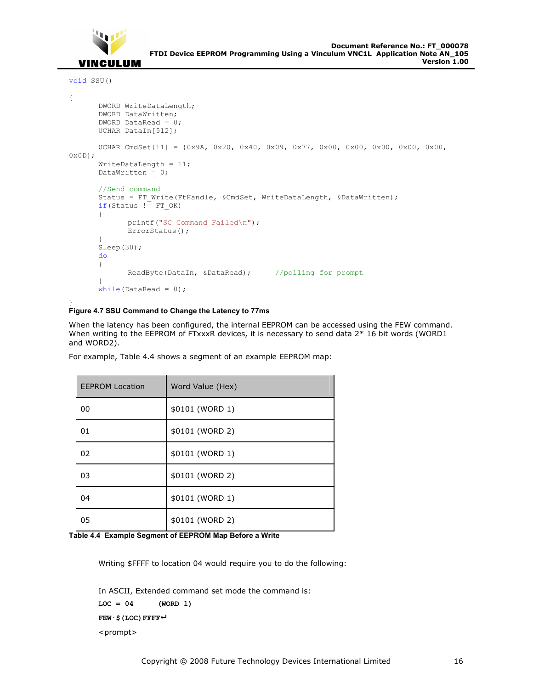

```
void SSU()
```

```
{ 
       DWORD WriteDataLength; 
       DWORD DataWritten; 
       DWORD DataRead = 0; 
       UCHAR DataIn[512]; 
       UCHAR CmdSet[11] = {0x9A, 0x20, 0x40, 0x09, 0x77, 0x00, 0x00, 0x00, 0x00, 0x00, 
0x0D}; 
       WriteDataLength = 11; 
      DataWritten = 0;//Send command 
      Status = FT Write(FtHandle, &CmdSet, WriteDataLength, &DataWritten);
      if(Status != FT OK)
        { 
             printf("SC Command Failed\n");
              ErrorStatus(); 
 } 
       Sleep(30); 
      do 
        { 
             ReadByte(DataIn, &DataRead); //polling for prompt
 } 
      while(DataRead = 0);
```
#### } **Figure 4.7 SSU Command to Change the Latency to 77ms**

When the latency has been configured, the internal EEPROM can be accessed using the FEW command. When writing to the EEPROM of FTxxxR devices, it is necessary to send data 2\* 16 bit words (WORD1 and WORD2).

| <b>EEPROM Location</b> | Word Value (Hex) |
|------------------------|------------------|
| 00                     | \$0101 (WORD 1)  |
| 01                     | \$0101 (WORD 2)  |
| 02                     | \$0101 (WORD 1)  |
| 03                     | \$0101 (WORD 2)  |
| 04                     | \$0101 (WORD 1)  |
| 05                     | \$0101 (WORD 2)  |

For example, Table 4.4 shows a segment of an example EEPROM map:

**Table 4.4 Example Segment of EEPROM Map Before a Write** 

Writing \$FFFF to location 04 would require you to do the following:

```
In ASCII, Extended command set mode the command is:
LOC = 04 (WORD 1) 
FEW·$(LOC)FFFF
<prompt>
```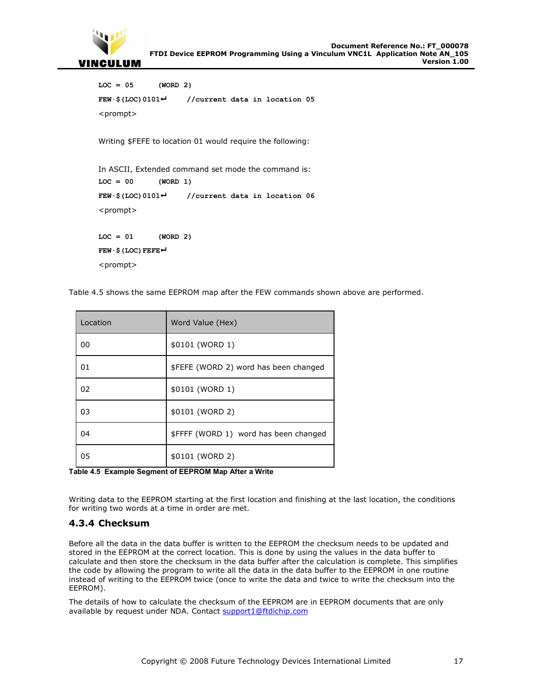

```
LOC = 05 (WORD 2) 
FEW·$(LOC)0101 //current data in location 05 
<prompt> 
Writing $FEFE to location 01 would require the following: 
In ASCII, Extended command set mode the command is:
LOC = 00 (WORD 1) 
FEW·$(LOC)0101 //current data in location 06 
<prompt> 
LOC = 01 (WORD 2) 
FEW·$(LOC)FEFE
```
<prompt>

Table 4.5 shows the same EEPROM map after the FEW commands shown above are performed.

| Location | Word Value (Hex)                      |  |
|----------|---------------------------------------|--|
| 00       | \$0101 (WORD 1)                       |  |
| 01       | \$FEFE (WORD 2) word has been changed |  |
| 02       | \$0101 (WORD 1)                       |  |
| 03       | \$0101 (WORD 2)                       |  |
| 04       | \$FFFF (WORD 1) word has been changed |  |
| 05       | \$0101 (WORD 2)                       |  |

**Table 4.5 Example Segment of EEPROM Map After a Write** 

Writing data to the EEPROM starting at the first location and finishing at the last location, the conditions for writing two words at a time in order are met.

#### **4.3.4 Checksum**

Before all the data in the data buffer is written to the EEPROM the checksum needs to be updated and stored in the EEPROM at the correct location. This is done by using the values in the data buffer to calculate and then store the checksum in the data buffer after the calculation is complete. This simplifies the code by allowing the program to write all the data in the data buffer to the EEPROM in one routine instead of writing to the EEPROM twice (once to write the data and twice to write the checksum into the EEPROM).

The details of how to calculate the checksum of the EEPROM are in EEPROM documents that are only available by request under NDA. Contact support1@ftdichip.com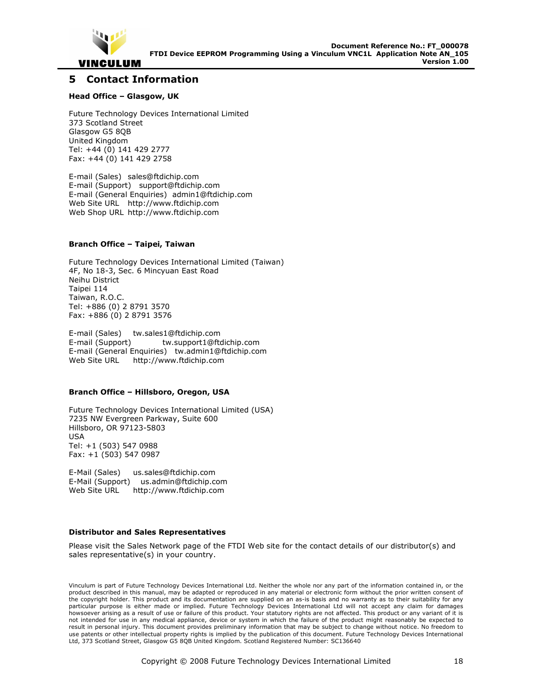

## **5 Contact Information**

#### **Head Office – Glasgow, UK**

Future Technology Devices International Limited 373 Scotland Street Glasgow G5 8QB United Kingdom Tel: +44 (0) 141 429 2777 Fax: +44 (0) 141 429 2758

E-mail (Sales) sales@ftdichip.com E-mail (Support) support@ftdichip.com E-mail (General Enquiries) admin1@ftdichip.com Web Site URL http://www.ftdichip.com Web Shop URL http://www.ftdichip.com

#### **Branch Office – Taipei, Taiwan**

Future Technology Devices International Limited (Taiwan) 4F, No 18-3, Sec. 6 Mincyuan East Road Neihu District Taipei 114 Taiwan, R.O.C. Tel: +886 (0) 2 8791 3570 Fax: +886 (0) 2 8791 3576

E-mail (Sales) tw.sales1@ftdichip.com E-mail (Support) tw.support1@ftdichip.com E-mail (General Enquiries) tw.admin1@ftdichip.com Web Site URL http://www.ftdichip.com

#### **Branch Office – Hillsboro, Oregon, USA**

Future Technology Devices International Limited (USA) 7235 NW Evergreen Parkway, Suite 600 Hillsboro, OR 97123-5803 USA Tel: +1 (503) 547 0988 Fax: +1 (503) 547 0987

E-Mail (Sales) us.sales@ftdichip.com E-Mail (Support) us.admin@ftdichip.com Web Site URL http://www.ftdichip.com

#### **Distributor and Sales Representatives**

Please visit the Sales Network page of the FTDI Web site for the contact details of our distributor(s) and sales representative(s) in your country.

Vinculum is part of Future Technology Devices International Ltd. Neither the whole nor any part of the information contained in, or the product described in this manual, may be adapted or reproduced in any material or electronic form without the prior written consent of the copyright holder. This product and its documentation are supplied on an as-is basis and no warranty as to their suitability for any particular purpose is either made or implied. Future Technology Devices International Ltd will not accept any claim for damages howsoever arising as a result of use or failure of this product. Your statutory rights are not affected. This product or any variant of it is not intended for use in any medical appliance, device or system in which the failure of the product might reasonably be expected to result in personal injury. This document provides preliminary information that may be subject to change without notice. No freedom to use patents or other intellectual property rights is implied by the publication of this document. Future Technology Devices International Ltd, 373 Scotland Street, Glasgow G5 8QB United Kingdom. Scotland Registered Number: SC136640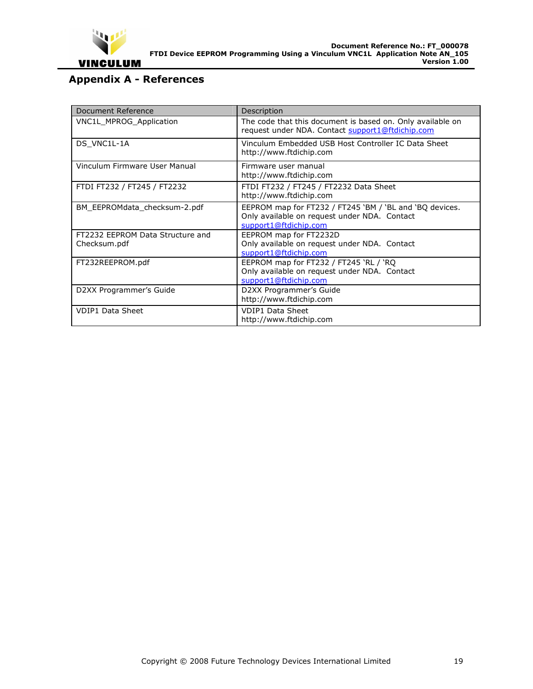

## **Appendix A - References**

| Document Reference                               | Description                                                                                                                      |
|--------------------------------------------------|----------------------------------------------------------------------------------------------------------------------------------|
| <b>VNC1L MPROG Application</b>                   | The code that this document is based on. Only available on<br>request under NDA. Contact support1@ftdichip.com                   |
| DS VNC1L-1A                                      | Vinculum Embedded USB Host Controller IC Data Sheet<br>http://www.ftdichip.com                                                   |
| Vinculum Firmware User Manual                    | Firmware user manual<br>http://www.ftdichip.com                                                                                  |
| FTDI FT232 / FT245 / FT2232                      | FTDI FT232 / FT245 / FT2232 Data Sheet<br>http://www.ftdichip.com                                                                |
| BM EEPROMdata checksum-2.pdf                     | EEPROM map for FT232 / FT245 'BM / 'BL and 'BQ devices.<br>Only available on request under NDA. Contact<br>support1@ftdichip.com |
| FT2232 EEPROM Data Structure and<br>Checksum.pdf | EEPROM map for FT2232D<br>Only available on request under NDA. Contact<br>support1@ftdichip.com                                  |
| FT232REEPROM.pdf                                 | EEPROM map for FT232 / FT245 'RL / 'RQ<br>Only available on request under NDA. Contact<br>support1@ftdichip.com                  |
| D2XX Programmer's Guide                          | D2XX Programmer's Guide<br>http://www.ftdichip.com                                                                               |
| <b>VDIP1 Data Sheet</b>                          | <b>VDIP1 Data Sheet</b><br>http://www.ftdichip.com                                                                               |